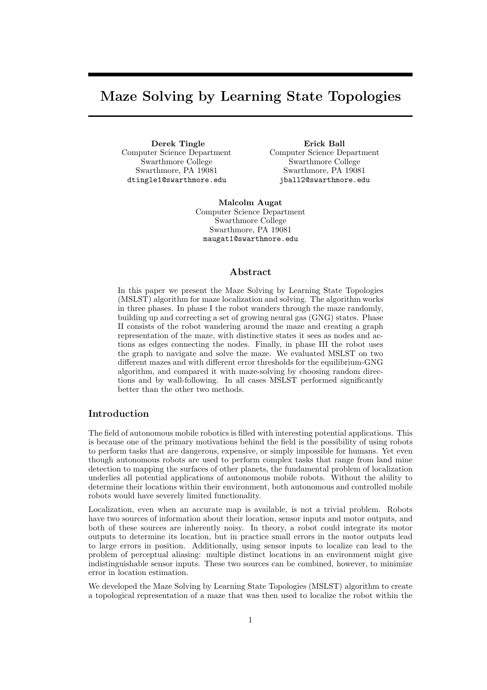# Maze Solving by Learning State Topologies

Derek Tingle Computer Science Department Swarthmore College Swarthmore, PA 19081 dtingle1@swarthmore.edu

Erick Ball Computer Science Department Swarthmore College Swarthmore, PA 19081 jball2@swarthmore.edu

Malcolm Augat Computer Science Department Swarthmore College Swarthmore, PA 19081 maugat1@swarthmore.edu

# Abstract

In this paper we present the Maze Solving by Learning State Topologies (MSLST) algorithm for maze localization and solving. The algorithm works in three phases. In phase I the robot wanders through the maze randomly, building up and correcting a set of growing neural gas (GNG) states. Phase II consists of the robot wandering around the maze and creating a graph representation of the maze, with distinctive states it sees as nodes and actions as edges connecting the nodes. Finally, in phase III the robot uses the graph to navigate and solve the maze. We evaluated MSLST on two different mazes and with different error thresholds for the equilibrium-GNG algorithm, and compared it with maze-solving by choosing random directions and by wall-following. In all cases MSLST performed significantly better than the other two methods.

# Introduction

The field of autonomous mobile robotics is filled with interesting potential applications. This is because one of the primary motivations behind the field is the possibility of using robots to perform tasks that are dangerous, expensive, or simply impossible for humans. Yet even though autonomous robots are used to perform complex tasks that range from land mine detection to mapping the surfaces of other planets, the fundamental problem of localization underlies all potential applications of autonomous mobile robots. Without the ability to determine their locations within their environment, both autonomous and controlled mobile robots would have severely limited functionality.

Localization, even when an accurate map is available, is not a trivial problem. Robots have two sources of information about their location, sensor inputs and motor outputs, and both of these sources are inherently noisy. In theory, a robot could integrate its motor outputs to determine its location, but in practice small errors in the motor outputs lead to large errors in position. Additionally, using sensor inputs to localize can lead to the problem of perceptual aliasing: multiple distinct locations in an environment might give indistinguishable sensor inputs. These two sources can be combined, however, to minimize error in location estimation.

We developed the Maze Solving by Learning State Topologies (MSLST) algorithm to create a topological representation of a maze that was then used to localize the robot within the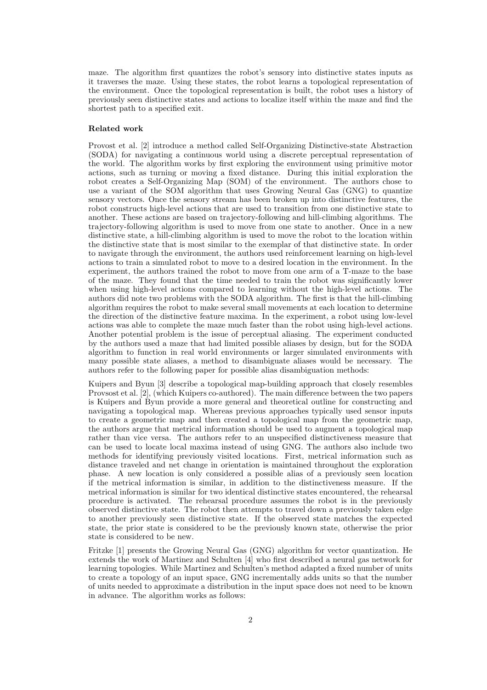maze. The algorithm first quantizes the robot's sensory into distinctive states inputs as it traverses the maze. Using these states, the robot learns a topological representation of the environment. Once the topological representation is built, the robot uses a history of previously seen distinctive states and actions to localize itself within the maze and find the shortest path to a specified exit.

## Related work

Provost et al. [2] introduce a method called Self-Organizing Distinctive-state Abstraction (SODA) for navigating a continuous world using a discrete perceptual representation of the world. The algorithm works by first exploring the environment using primitive motor actions, such as turning or moving a fixed distance. During this initial exploration the robot creates a Self-Organizing Map (SOM) of the environment. The authors chose to use a variant of the SOM algorithm that uses Growing Neural Gas (GNG) to quantize sensory vectors. Once the sensory stream has been broken up into distinctive features, the robot constructs high-level actions that are used to transition from one distinctive state to another. These actions are based on trajectory-following and hill-climbing algorithms. The trajectory-following algorithm is used to move from one state to another. Once in a new distinctive state, a hill-climbing algorithm is used to move the robot to the location within the distinctive state that is most similar to the exemplar of that distinctive state. In order to navigate through the environment, the authors used reinforcement learning on high-level actions to train a simulated robot to move to a desired location in the environment. In the experiment, the authors trained the robot to move from one arm of a T-maze to the base of the maze. They found that the time needed to train the robot was significantly lower when using high-level actions compared to learning without the high-level actions. The authors did note two problems with the SODA algorithm. The first is that the hill-climbing algorithm requires the robot to make several small movements at each location to determine the direction of the distinctive feature maxima. In the experiment, a robot using low-level actions was able to complete the maze much faster than the robot using high-level actions. Another potential problem is the issue of perceptual aliasing. The experiment conducted by the authors used a maze that had limited possible aliases by design, but for the SODA algorithm to function in real world environments or larger simulated environments with many possible state aliases, a method to disambiguate aliases would be necessary. The authors refer to the following paper for possible alias disambiguation methods:

Kuipers and Byun [3] describe a topological map-building approach that closely resembles Provsost et al. [2], (which Kuipers co-authored). The main difference between the two papers is Kuipers and Byun provide a more general and theoretical outline for constructing and navigating a topological map. Whereas previous approaches typically used sensor inputs to create a geometric map and then created a topological map from the geometric map, the authors argue that metrical information should be used to augment a topological map rather than vice versa. The authors refer to an unspecified distinctiveness measure that can be used to locate local maxima instead of using GNG. The authors also include two methods for identifying previously visited locations. First, metrical information such as distance traveled and net change in orientation is maintained throughout the exploration phase. A new location is only considered a possible alias of a previously seen location if the metrical information is similar, in addition to the distinctiveness measure. If the metrical information is similar for two identical distinctive states encountered, the rehearsal procedure is activated. The rehearsal procedure assumes the robot is in the previously observed distinctive state. The robot then attempts to travel down a previously taken edge to another previously seen distinctive state. If the observed state matches the expected state, the prior state is considered to be the previously known state, otherwise the prior state is considered to be new.

Fritzke [1] presents the Growing Neural Gas (GNG) algorithm for vector quantization. He extends the work of Martinez and Schulten [4] who first described a neural gas network for learning topologies. While Martinez and Schulten's method adapted a fixed number of units to create a topology of an input space, GNG incrementally adds units so that the number of units needed to approximate a distribution in the input space does not need to be known in advance. The algorithm works as follows: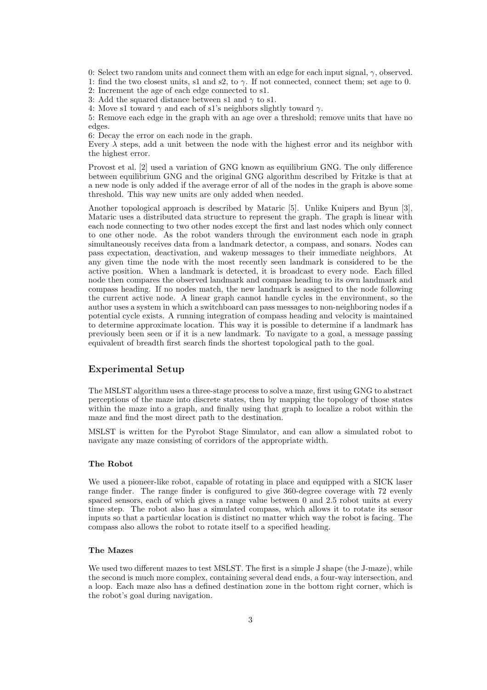0: Select two random units and connect them with an edge for each input signal,  $\gamma$ , observed.

1: find the two closest units, s1 and s2, to  $\gamma$ . If not connected, connect them; set age to 0.

2: Increment the age of each edge connected to s1.

3: Add the squared distance between s1 and  $\gamma$  to s1.

4: Move s1 toward  $\gamma$  and each of s1's neighbors slightly toward  $\gamma$ .

5: Remove each edge in the graph with an age over a threshold; remove units that have no edges.

6: Decay the error on each node in the graph.

Every  $\lambda$  steps, add a unit between the node with the highest error and its neighbor with the highest error.

Provost et al. [2] used a variation of GNG known as equilibrium GNG. The only difference between equilibrium GNG and the original GNG algorithm described by Fritzke is that at a new node is only added if the average error of all of the nodes in the graph is above some threshold. This way new units are only added when needed.

Another topological approach is described by Mataric [5]. Unlike Kuipers and Byun [3], Mataric uses a distributed data structure to represent the graph. The graph is linear with each node connecting to two other nodes except the first and last nodes which only connect to one other node. As the robot wanders through the environment each node in graph simultaneously receives data from a landmark detector, a compass, and sonars. Nodes can pass expectation, deactivation, and wakeup messages to their immediate neighbors. At any given time the node with the most recently seen landmark is considered to be the active position. When a landmark is detected, it is broadcast to every node. Each filled node then compares the observed landmark and compass heading to its own landmark and compass heading. If no nodes match, the new landmark is assigned to the node following the current active node. A linear graph cannot handle cycles in the environment, so the author uses a system in which a switchboard can pass messages to non-neighboring nodes if a potential cycle exists. A running integration of compass heading and velocity is maintained to determine approximate location. This way it is possible to determine if a landmark has previously been seen or if it is a new landmark. To navigate to a goal, a message passing equivalent of breadth first search finds the shortest topological path to the goal.

# Experimental Setup

The MSLST algorithm uses a three-stage process to solve a maze, first using GNG to abstract perceptions of the maze into discrete states, then by mapping the topology of those states within the maze into a graph, and finally using that graph to localize a robot within the maze and find the most direct path to the destination.

MSLST is written for the Pyrobot Stage Simulator, and can allow a simulated robot to navigate any maze consisting of corridors of the appropriate width.

## The Robot

We used a pioneer-like robot, capable of rotating in place and equipped with a SICK laser range finder. The range finder is configured to give 360-degree coverage with 72 evenly spaced sensors, each of which gives a range value between 0 and 2.5 robot units at every time step. The robot also has a simulated compass, which allows it to rotate its sensor inputs so that a particular location is distinct no matter which way the robot is facing. The compass also allows the robot to rotate itself to a specified heading.

# The Mazes

We used two different mazes to test MSLST. The first is a simple J shape (the J-maze), while the second is much more complex, containing several dead ends, a four-way intersection, and a loop. Each maze also has a defined destination zone in the bottom right corner, which is the robot's goal during navigation.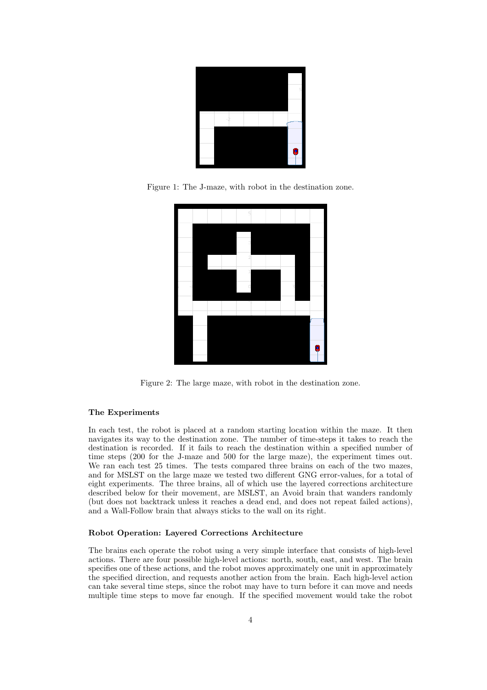

Figure 1: The J-maze, with robot in the destination zone.



Figure 2: The large maze, with robot in the destination zone.

## The Experiments

In each test, the robot is placed at a random starting location within the maze. It then navigates its way to the destination zone. The number of time-steps it takes to reach the destination is recorded. If it fails to reach the destination within a specified number of time steps (200 for the J-maze and 500 for the large maze), the experiment times out. We ran each test 25 times. The tests compared three brains on each of the two mazes, and for MSLST on the large maze we tested two different GNG error-values, for a total of eight experiments. The three brains, all of which use the layered corrections architecture described below for their movement, are MSLST, an Avoid brain that wanders randomly (but does not backtrack unless it reaches a dead end, and does not repeat failed actions), and a Wall-Follow brain that always sticks to the wall on its right.

## Robot Operation: Layered Corrections Architecture

The brains each operate the robot using a very simple interface that consists of high-level actions. There are four possible high-level actions: north, south, east, and west. The brain specifies one of these actions, and the robot moves approximately one unit in approximately the specified direction, and requests another action from the brain. Each high-level action can take several time steps, since the robot may have to turn before it can move and needs multiple time steps to move far enough. If the specified movement would take the robot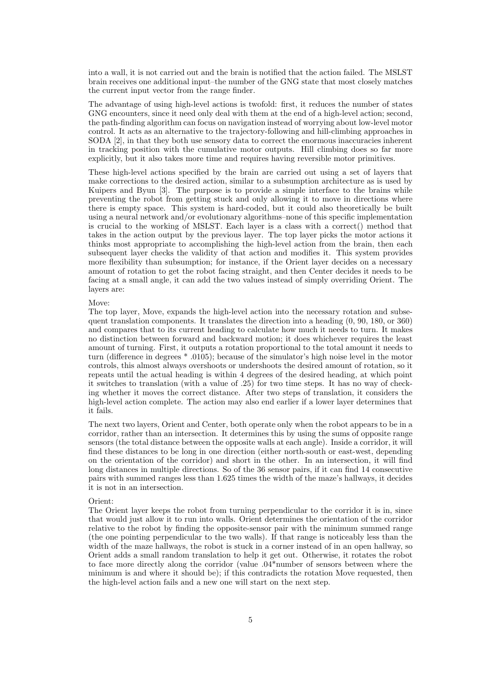into a wall, it is not carried out and the brain is notified that the action failed. The MSLST brain receives one additional input–the number of the GNG state that most closely matches the current input vector from the range finder.

The advantage of using high-level actions is twofold: first, it reduces the number of states GNG encounters, since it need only deal with them at the end of a high-level action; second, the path-finding algorithm can focus on navigation instead of worrying about low-level motor control. It acts as an alternative to the trajectory-following and hill-climbing approaches in SODA [2], in that they both use sensory data to correct the enormous inaccuracies inherent in tracking position with the cumulative motor outputs. Hill climbing does so far more explicitly, but it also takes more time and requires having reversible motor primitives.

These high-level actions specified by the brain are carried out using a set of layers that make corrections to the desired action, similar to a subsumption architecture as is used by Kuipers and Byun [3]. The purpose is to provide a simple interface to the brains while preventing the robot from getting stuck and only allowing it to move in directions where there is empty space. This system is hard-coded, but it could also theoretically be built using a neural network and/or evolutionary algorithms–none of this specific implementation is crucial to the working of MSLST. Each layer is a class with a correct() method that takes in the action output by the previous layer. The top layer picks the motor actions it thinks most appropriate to accomplishing the high-level action from the brain, then each subsequent layer checks the validity of that action and modifies it. This system provides more flexibility than subsumption; for instance, if the Orient layer decides on a necessary amount of rotation to get the robot facing straight, and then Center decides it needs to be facing at a small angle, it can add the two values instead of simply overriding Orient. The layers are:

#### Move:

The top layer, Move, expands the high-level action into the necessary rotation and subsequent translation components. It translates the direction into a heading (0, 90, 180, or 360) and compares that to its current heading to calculate how much it needs to turn. It makes no distinction between forward and backward motion; it does whichever requires the least amount of turning. First, it outputs a rotation proportional to the total amount it needs to turn (difference in degrees \* .0105); because of the simulator's high noise level in the motor controls, this almost always overshoots or undershoots the desired amount of rotation, so it repeats until the actual heading is within 4 degrees of the desired heading, at which point it switches to translation (with a value of .25) for two time steps. It has no way of checking whether it moves the correct distance. After two steps of translation, it considers the high-level action complete. The action may also end earlier if a lower layer determines that it fails.

The next two layers, Orient and Center, both operate only when the robot appears to be in a corridor, rather than an intersection. It determines this by using the sums of opposite range sensors (the total distance between the opposite walls at each angle). Inside a corridor, it will find these distances to be long in one direction (either north-south or east-west, depending on the orientation of the corridor) and short in the other. In an intersection, it will find long distances in multiple directions. So of the 36 sensor pairs, if it can find 14 consecutive pairs with summed ranges less than 1.625 times the width of the maze's hallways, it decides it is not in an intersection.

## Orient:

The Orient layer keeps the robot from turning perpendicular to the corridor it is in, since that would just allow it to run into walls. Orient determines the orientation of the corridor relative to the robot by finding the opposite-sensor pair with the minimum summed range (the one pointing perpendicular to the two walls). If that range is noticeably less than the width of the maze hallways, the robot is stuck in a corner instead of in an open hallway, so Orient adds a small random translation to help it get out. Otherwise, it rotates the robot to face more directly along the corridor (value .04\*number of sensors between where the minimum is and where it should be); if this contradicts the rotation Move requested, then the high-level action fails and a new one will start on the next step.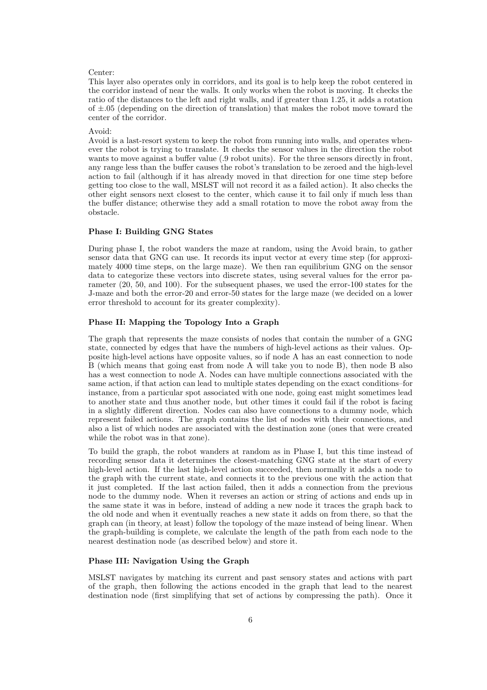#### Center:

This layer also operates only in corridors, and its goal is to help keep the robot centered in the corridor instead of near the walls. It only works when the robot is moving. It checks the ratio of the distances to the left and right walls, and if greater than 1.25, it adds a rotation of  $\pm 0.05$  (depending on the direction of translation) that makes the robot move toward the center of the corridor.

#### Avoid:

Avoid is a last-resort system to keep the robot from running into walls, and operates whenever the robot is trying to translate. It checks the sensor values in the direction the robot wants to move against a buffer value (.9 robot units). For the three sensors directly in front, any range less than the buffer causes the robot's translation to be zeroed and the high-level action to fail (although if it has already moved in that direction for one time step before getting too close to the wall, MSLST will not record it as a failed action). It also checks the other eight sensors next closest to the center, which cause it to fail only if much less than the buffer distance; otherwise they add a small rotation to move the robot away from the obstacle.

## Phase I: Building GNG States

During phase I, the robot wanders the maze at random, using the Avoid brain, to gather sensor data that GNG can use. It records its input vector at every time step (for approximately 4000 time steps, on the large maze). We then ran equilibrium GNG on the sensor data to categorize these vectors into discrete states, using several values for the error parameter (20, 50, and 100). For the subsequent phases, we used the error-100 states for the J-maze and both the error-20 and error-50 states for the large maze (we decided on a lower error threshold to account for its greater complexity).

## Phase II: Mapping the Topology Into a Graph

The graph that represents the maze consists of nodes that contain the number of a GNG state, connected by edges that have the numbers of high-level actions as their values. Opposite high-level actions have opposite values, so if node A has an east connection to node B (which means that going east from node A will take you to node B), then node B also has a west connection to node A. Nodes can have multiple connections associated with the same action, if that action can lead to multiple states depending on the exact conditions–for instance, from a particular spot associated with one node, going east might sometimes lead to another state and thus another node, but other times it could fail if the robot is facing in a slightly different direction. Nodes can also have connections to a dummy node, which represent failed actions. The graph contains the list of nodes with their connections, and also a list of which nodes are associated with the destination zone (ones that were created while the robot was in that zone).

To build the graph, the robot wanders at random as in Phase I, but this time instead of recording sensor data it determines the closest-matching GNG state at the start of every high-level action. If the last high-level action succeeded, then normally it adds a node to the graph with the current state, and connects it to the previous one with the action that it just completed. If the last action failed, then it adds a connection from the previous node to the dummy node. When it reverses an action or string of actions and ends up in the same state it was in before, instead of adding a new node it traces the graph back to the old node and when it eventually reaches a new state it adds on from there, so that the graph can (in theory, at least) follow the topology of the maze instead of being linear. When the graph-building is complete, we calculate the length of the path from each node to the nearest destination node (as described below) and store it.

## Phase III: Navigation Using the Graph

MSLST navigates by matching its current and past sensory states and actions with part of the graph, then following the actions encoded in the graph that lead to the nearest destination node (first simplifying that set of actions by compressing the path). Once it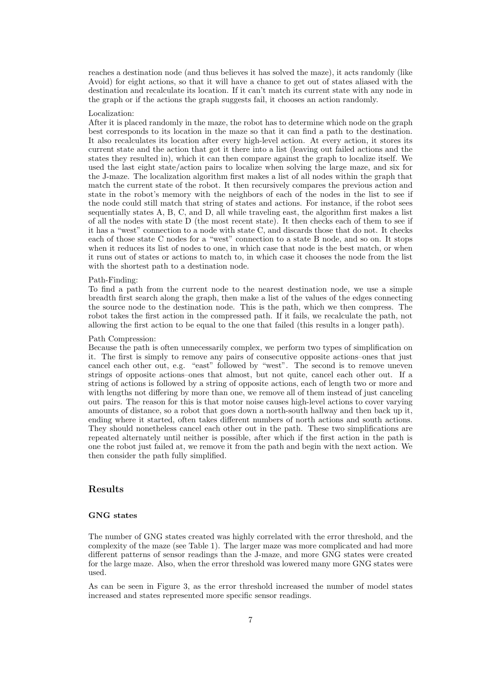reaches a destination node (and thus believes it has solved the maze), it acts randomly (like Avoid) for eight actions, so that it will have a chance to get out of states aliased with the destination and recalculate its location. If it can't match its current state with any node in the graph or if the actions the graph suggests fail, it chooses an action randomly.

#### Localization:

After it is placed randomly in the maze, the robot has to determine which node on the graph best corresponds to its location in the maze so that it can find a path to the destination. It also recalculates its location after every high-level action. At every action, it stores its current state and the action that got it there into a list (leaving out failed actions and the states they resulted in), which it can then compare against the graph to localize itself. We used the last eight state/action pairs to localize when solving the large maze, and six for the J-maze. The localization algorithm first makes a list of all nodes within the graph that match the current state of the robot. It then recursively compares the previous action and state in the robot's memory with the neighbors of each of the nodes in the list to see if the node could still match that string of states and actions. For instance, if the robot sees sequentially states A, B, C, and D, all while traveling east, the algorithm first makes a list of all the nodes with state D (the most recent state). It then checks each of them to see if it has a "west" connection to a node with state C, and discards those that do not. It checks each of those state C nodes for a "west" connection to a state B node, and so on. It stops when it reduces its list of nodes to one, in which case that node is the best match, or when it runs out of states or actions to match to, in which case it chooses the node from the list with the shortest path to a destination node.

#### Path-Finding:

To find a path from the current node to the nearest destination node, we use a simple breadth first search along the graph, then make a list of the values of the edges connecting the source node to the destination node. This is the path, which we then compress. The robot takes the first action in the compressed path. If it fails, we recalculate the path, not allowing the first action to be equal to the one that failed (this results in a longer path).

#### Path Compression:

Because the path is often unnecessarily complex, we perform two types of simplification on it. The first is simply to remove any pairs of consecutive opposite actions–ones that just cancel each other out, e.g. "east" followed by "west". The second is to remove uneven strings of opposite actions–ones that almost, but not quite, cancel each other out. If a string of actions is followed by a string of opposite actions, each of length two or more and with lengths not differing by more than one, we remove all of them instead of just canceling out pairs. The reason for this is that motor noise causes high-level actions to cover varying amounts of distance, so a robot that goes down a north-south hallway and then back up it, ending where it started, often takes different numbers of north actions and south actions. They should nonetheless cancel each other out in the path. These two simplifications are repeated alternately until neither is possible, after which if the first action in the path is one the robot just failed at, we remove it from the path and begin with the next action. We then consider the path fully simplified.

# Results

# GNG states

The number of GNG states created was highly correlated with the error threshold, and the complexity of the maze (see Table 1). The larger maze was more complicated and had more different patterns of sensor readings than the J-maze, and more GNG states were created for the large maze. Also, when the error threshold was lowered many more GNG states were used.

As can be seen in Figure 3, as the error threshold increased the number of model states increased and states represented more specific sensor readings.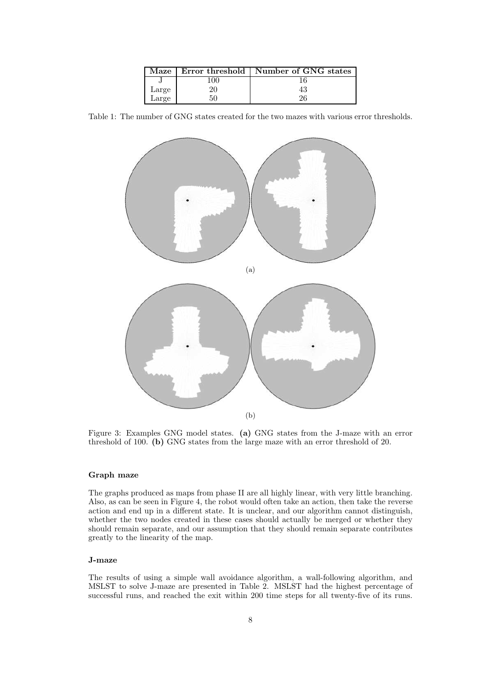|       |    | Maze   Error threshold   Number of GNG states |
|-------|----|-----------------------------------------------|
|       |    |                                               |
| Large |    | 43                                            |
| Large | 50 |                                               |

Table 1: The number of GNG states created for the two mazes with various error thresholds.



Figure 3: Examples GNG model states. (a) GNG states from the J-maze with an error threshold of 100. (b) GNG states from the large maze with an error threshold of 20.

## Graph maze

The graphs produced as maps from phase II are all highly linear, with very little branching. Also, as can be seen in Figure 4, the robot would often take an action, then take the reverse action and end up in a different state. It is unclear, and our algorithm cannot distinguish, whether the two nodes created in these cases should actually be merged or whether they should remain separate, and our assumption that they should remain separate contributes greatly to the linearity of the map.

## J-maze

The results of using a simple wall avoidance algorithm, a wall-following algorithm, and MSLST to solve J-maze are presented in Table 2. MSLST had the highest percentage of successful runs, and reached the exit within 200 time steps for all twenty-five of its runs.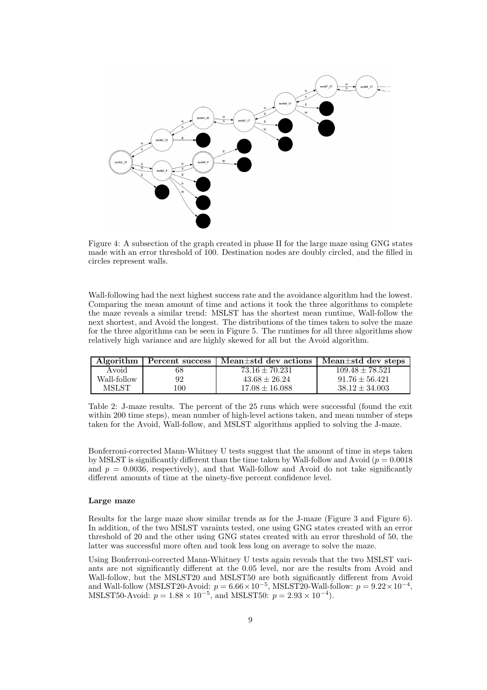

Figure 4: A subsection of the graph created in phase II for the large maze using GNG states made with an error threshold of 100. Destination nodes are doubly circled, and the filled in circles represent walls.

Wall-following had the next highest success rate and the avoidance algorithm had the lowest. Comparing the mean amount of time and actions it took the three algorithms to complete the maze reveals a similar trend: MSLST has the shortest mean runtime, Wall-follow the next shortest, and Avoid the longest. The distributions of the times taken to solve the maze for the three algorithms can be seen in Figure 5. The runtimes for all three algorithms show relatively high variance and are highly skewed for all but the Avoid algorithm.

|             |        | Algorithm   Percent success   Mean $\pm$ std dev actions | Mean $\pm$ std dev steps |
|-------------|--------|----------------------------------------------------------|--------------------------|
| Avoid       |        | $73.16 \pm 70.231$                                       | $109.48 \pm 78.521$      |
| Wall-follow | 92     | $43.68 \pm 26.24$                                        | $91.76 \pm 56.421$       |
| MSLST       | ' 00 ' | $17.08 \pm 16.088$                                       | $38.12 \pm 34.003$       |

Table 2: J-maze results. The percent of the 25 runs which were successful (found the exit within 200 time steps), mean number of high-level actions taken, and mean number of steps taken for the Avoid, Wall-follow, and MSLST algorithms applied to solving the J-maze.

Bonferroni-corrected Mann-Whitney U tests suggest that the amount of time in steps taken by MSLST is significantly different than the time taken by Wall-follow and Avoid ( $p = 0.0018$ ) and  $p = 0.0036$ , respectively), and that Wall-follow and Avoid do not take significantly different amounts of time at the ninety-five percent confidence level.

# Large maze

Results for the large maze show similar trends as for the J-maze (Figure 3 and Figure 6). In addition, of the two MSLST varaints tested, one using GNG states created with an error threshold of 20 and the other using GNG states created with an error threshold of 50, the latter was successful more often and took less long on average to solve the maze.

Using Bonferroni-corrected Mann-Whitney U tests again reveals that the two MSLST variants are not significantly different at the 0.05 level, nor are the results from Avoid and Wall-follow, but the MSLST20 and MSLST50 are both significantly different from Avoid and Wall-follow (MSLST20-Avoid:  $p = 6.66 \times 10^{-5}$ , MSLST20-Wall-follow:  $p = 9.22 \times 10^{-4}$ , MSLST50-Avoid:  $p = 1.88 \times 10^{-5}$ , and MSLST50:  $p = 2.93 \times 10^{-4}$ ).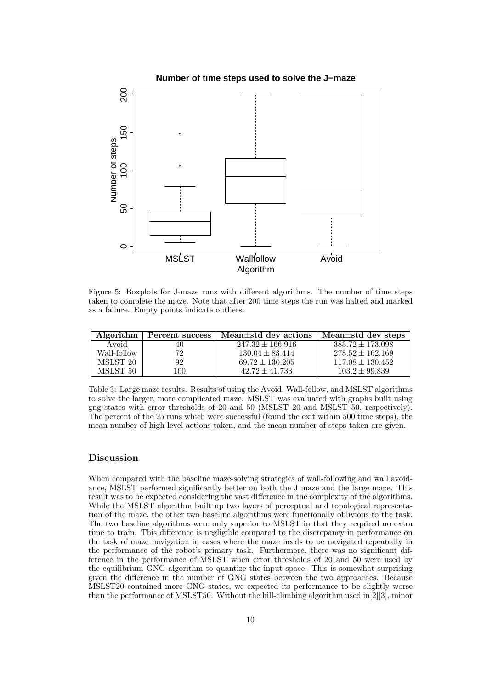

Figure 5: Boxplots for J-maze runs with different algorithms. The number of time steps taken to complete the maze. Note that after 200 time steps the run was halted and marked as a failure. Empty points indicate outliers.

| Algorithm    | Percent success | Mean $\pm$ std dev actions | Mean $\pm$ std dev steps |
|--------------|-----------------|----------------------------|--------------------------|
| Avoid        | 40              | $247.32 \pm 166.916$       | $383.72 \pm 173.098$     |
| Wall-follow- | 79              | $130.04 \pm 83.414$        | $278.52 \pm 162.169$     |
| MSLST 20     | 92              | $69.72 \pm 130.205$        | $117.08 \pm 130.452$     |
| MSLST 50     | 100             | $42.72 + 41.733$           | $103.2 \pm 99.839$       |

Table 3: Large maze results. Results of using the Avoid, Wall-follow, and MSLST algorithms to solve the larger, more complicated maze. MSLST was evaluated with graphs built using gng states with error thresholds of 20 and 50 (MSLST 20 and MSLST 50, respectively). The percent of the 25 runs which were successful (found the exit within 500 time steps), the mean number of high-level actions taken, and the mean number of steps taken are given.

# Discussion

When compared with the baseline maze-solving strategies of wall-following and wall avoidance, MSLST performed significantly better on both the J maze and the large maze. This result was to be expected considering the vast difference in the complexity of the algorithms. While the MSLST algorithm built up two layers of perceptual and topological representation of the maze, the other two baseline algorithms were functionally oblivious to the task. The two baseline algorithms were only superior to MSLST in that they required no extra time to train. This difference is negligible compared to the discrepancy in performance on the task of maze navigation in cases where the maze needs to be navigated repeatedly in the performance of the robot's primary task. Furthermore, there was no significant difference in the performance of MSLST when error thresholds of 20 and 50 were used by the equilibrium GNG algorithm to quantize the input space. This is somewhat surprising given the difference in the number of GNG states between the two approaches. Because MSLST20 contained more GNG states, we expected its performance to be slightly worse than the performance of MSLST50. Without the hill-climbing algorithm used in[2][3], minor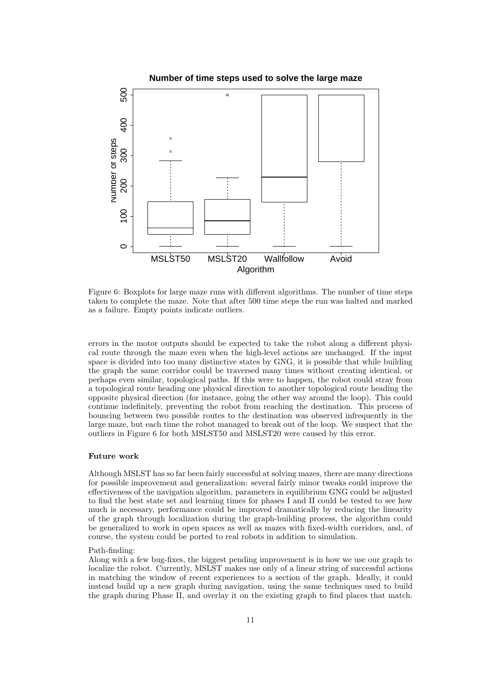

Figure 6: Boxplots for large maze runs with different algorithms. The number of time steps taken to complete the maze. Note that after 500 time steps the run was halted and marked as a failure. Empty points indicate outliers.

errors in the motor outputs should be expected to take the robot along a different physical route through the maze even when the high-level actions are unchanged. If the input space is divided into too many distinctive states by GNG, it is possible that while building the graph the same corridor could be traversed many times without creating identical, or perhaps even similar, topological paths. If this were to happen, the robot could stray from a topological route heading one physical direction to another topological route heading the opposite physical direction (for instance, going the other way around the loop). This could continue indefinitely, preventing the robot from reaching the destination. This process of bouncing between two possible routes to the destination was observed infrequently in the large maze, but each time the robot managed to break out of the loop. We suspect that the outliers in Figure 6 for both MSLST50 and MSLST20 were caused by this error.

## Future work

Although MSLST has so far been fairly successful at solving mazes, there are many directions for possible improvement and generalization: several fairly minor tweaks could improve the effectiveness of the navigation algorithm, parameters in equilibrium GNG could be adjusted to find the best state set and learning times for phases I and II could be tested to see how much is necessary, performance could be improved dramatically by reducing the linearity of the graph through localization during the graph-building process, the algorithm could be generalized to work in open spaces as well as mazes with fixed-width corridors, and, of course, the system could be ported to real robots in addition to simulation.

## Path-finding:

Along with a few bug-fixes, the biggest pending improvement is in how we use our graph to localize the robot. Currently, MSLST makes use only of a linear string of successful actions in matching the window of recent experiences to a section of the graph. Ideally, it could instead build up a new graph during navigation, using the same techniques used to build the graph during Phase II, and overlay it on the existing graph to find places that match.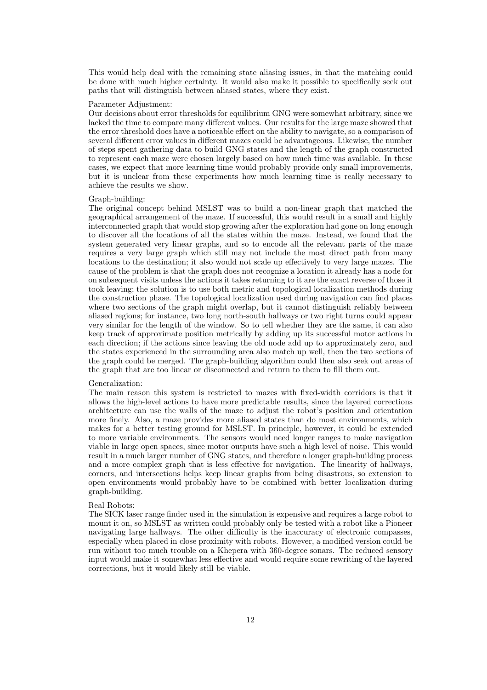This would help deal with the remaining state aliasing issues, in that the matching could be done with much higher certainty. It would also make it possible to specifically seek out paths that will distinguish between aliased states, where they exist.

#### Parameter Adjustment:

Our decisions about error thresholds for equilibrium GNG were somewhat arbitrary, since we lacked the time to compare many different values. Our results for the large maze showed that the error threshold does have a noticeable effect on the ability to navigate, so a comparison of several different error values in different mazes could be advantageous. Likewise, the number of steps spent gathering data to build GNG states and the length of the graph constructed to represent each maze were chosen largely based on how much time was available. In these cases, we expect that more learning time would probably provide only small improvements, but it is unclear from these experiments how much learning time is really necessary to achieve the results we show.

#### Graph-building:

The original concept behind MSLST was to build a non-linear graph that matched the geographical arrangement of the maze. If successful, this would result in a small and highly interconnected graph that would stop growing after the exploration had gone on long enough to discover all the locations of all the states within the maze. Instead, we found that the system generated very linear graphs, and so to encode all the relevant parts of the maze requires a very large graph which still may not include the most direct path from many locations to the destination; it also would not scale up effectively to very large mazes. The cause of the problem is that the graph does not recognize a location it already has a node for on subsequent visits unless the actions it takes returning to it are the exact reverse of those it took leaving; the solution is to use both metric and topological localization methods during the construction phase. The topological localization used during navigation can find places where two sections of the graph might overlap, but it cannot distinguish reliably between aliased regions; for instance, two long north-south hallways or two right turns could appear very similar for the length of the window. So to tell whether they are the same, it can also keep track of approximate position metrically by adding up its successful motor actions in each direction; if the actions since leaving the old node add up to approximately zero, and the states experienced in the surrounding area also match up well, then the two sections of the graph could be merged. The graph-building algorithm could then also seek out areas of the graph that are too linear or disconnected and return to them to fill them out.

## Generalization:

The main reason this system is restricted to mazes with fixed-width corridors is that it allows the high-level actions to have more predictable results, since the layered corrections architecture can use the walls of the maze to adjust the robot's position and orientation more finely. Also, a maze provides more aliased states than do most environments, which makes for a better testing ground for MSLST. In principle, however, it could be extended to more variable environments. The sensors would need longer ranges to make navigation viable in large open spaces, since motor outputs have such a high level of noise. This would result in a much larger number of GNG states, and therefore a longer graph-building process and a more complex graph that is less effective for navigation. The linearity of hallways, corners, and intersections helps keep linear graphs from being disastrous, so extension to open environments would probably have to be combined with better localization during graph-building.

### Real Robots:

The SICK laser range finder used in the simulation is expensive and requires a large robot to mount it on, so MSLST as written could probably only be tested with a robot like a Pioneer navigating large hallways. The other difficulty is the inaccuracy of electronic compasses, especially when placed in close proximity with robots. However, a modified version could be run without too much trouble on a Khepera with 360-degree sonars. The reduced sensory input would make it somewhat less effective and would require some rewriting of the layered corrections, but it would likely still be viable.